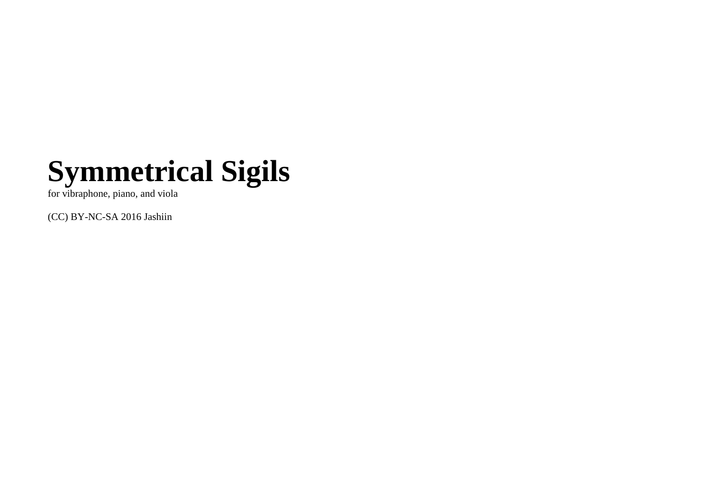

for vibraphone, piano, and viola

(CC) BY-NC-SA 2016 Jashiin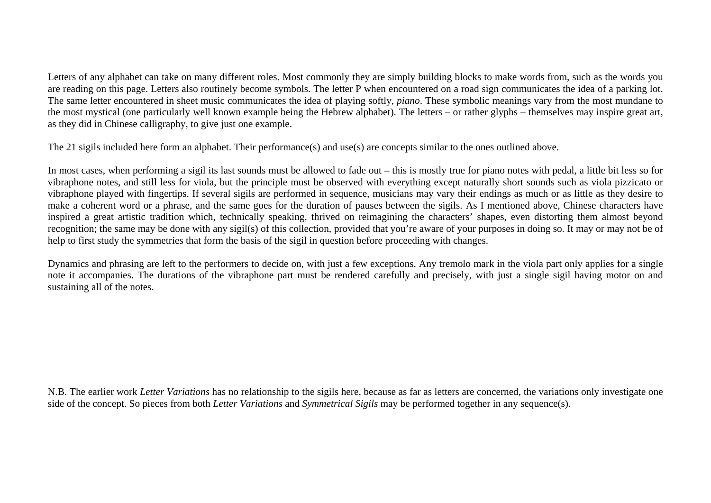Letters of any alphabet can take on many different roles. Most commonly they are simply building blocks to make words from, such as the words you are reading on this page. Letters also routinely become symbols. The letter P when encountered on a road sign communicates the idea of a parking lot. The same letter encountered in sheet music communicates the idea of playing softly, *piano*. These symbolic meanings vary from the most mundane to the most mystical (one particularly well known example being the Hebrew alphabet). The letters – or rather glyphs – themselves may inspire great art, as they did in Chinese calligraphy, to give just one example.

The 21 sigils included here form an alphabet. Their performance(s) and use(s) are concepts similar to the ones outlined above.

In most cases, when performing a sigil its last sounds must be allowed to fade out – this is mostly true for piano notes with pedal, a little bit less so for vibraphone notes, and still less for viola, but the principle must be observed with everything except naturally short sounds such as viola pizzicato or vibraphone played with fingertips. If several sigils are performed in sequence, musicians may vary their endings as much or as little as they desire to make a coherent word or a phrase, and the same goes for the duration of pauses between the sigils. As I mentioned above, Chinese characters have inspired a great artistic tradition which, technically speaking, thrived on reimagining the characters' shapes, even distorting them almost beyond recognition; the same may be done with any sigil(s) of this collection, provided that you're aware of your purposes in doing so. It may or may not be of help to first study the symmetries that form the basis of the sigil in question before proceeding with changes.

Dynamics and phrasing are left to the performers to decide on, with just a few exceptions. Any tremolo mark in the viola part only applies for a single note it accompanies. The durations of the vibraphone part must be rendered carefully and precisely, with just a single sigil having motor on and sustaining all of the notes.

N.B. The earlier work *Letter Variations* has no relationship to the sigils here, because as far as letters are concerned, the variations only investigate one side of the concept. So pieces from both *Letter Variations* and *Symmetrical Sigils* may be performed together in any sequence(s).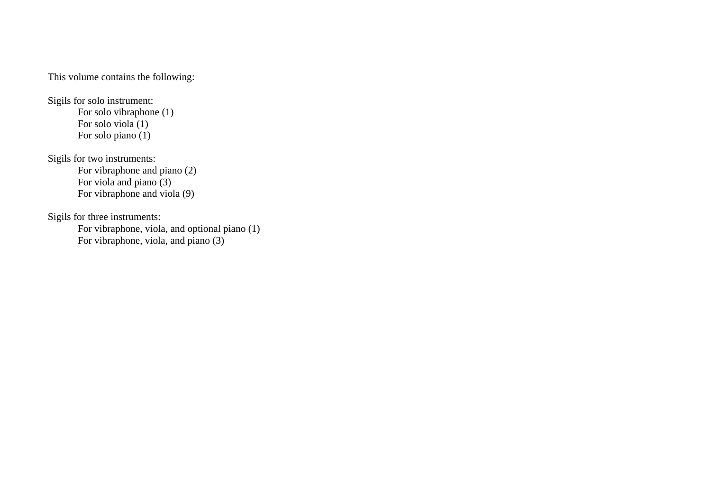This volume contains the following:

Sigils for solo instrument: For solo vibraphone (1) For solo viola (1) For solo piano (1)

Sigils for two instruments: For vibraphone and piano (2) For viola and piano (3) For vibraphone and viola (9)

Sigils for three instruments:

 For vibraphone, viola, and optional piano (1) For vibraphone, viola, and piano (3)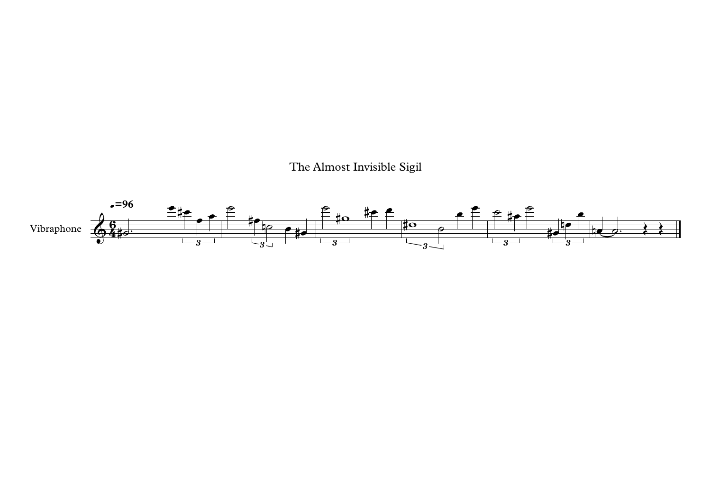

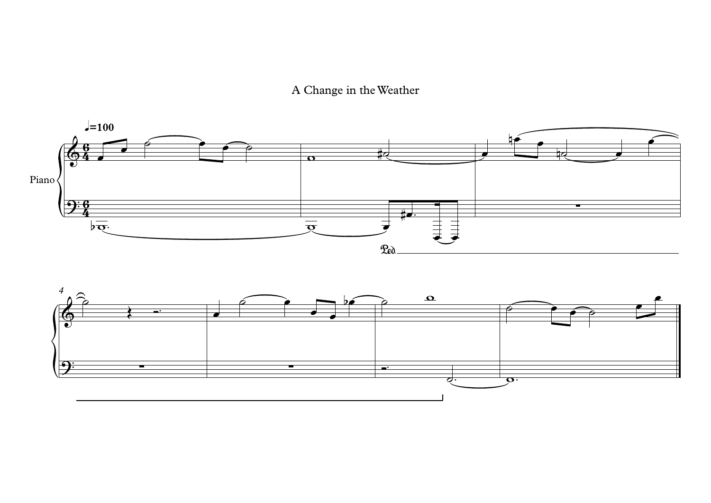A Change in the Weather

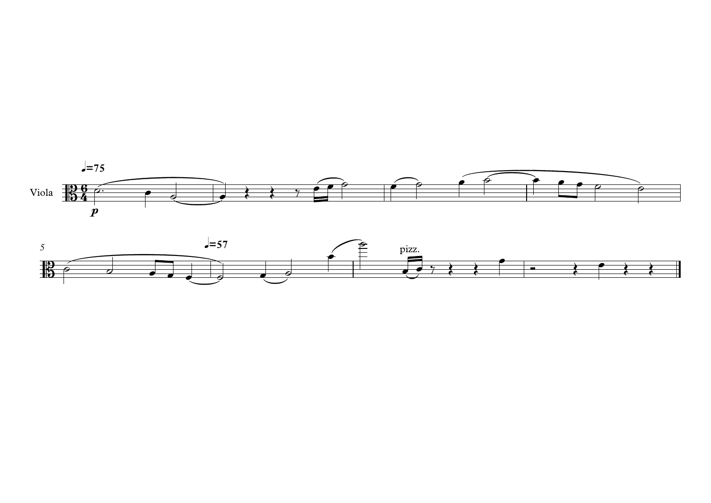

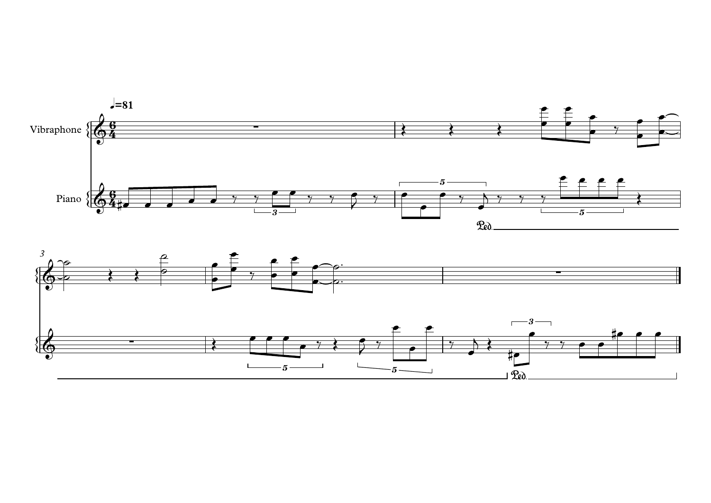

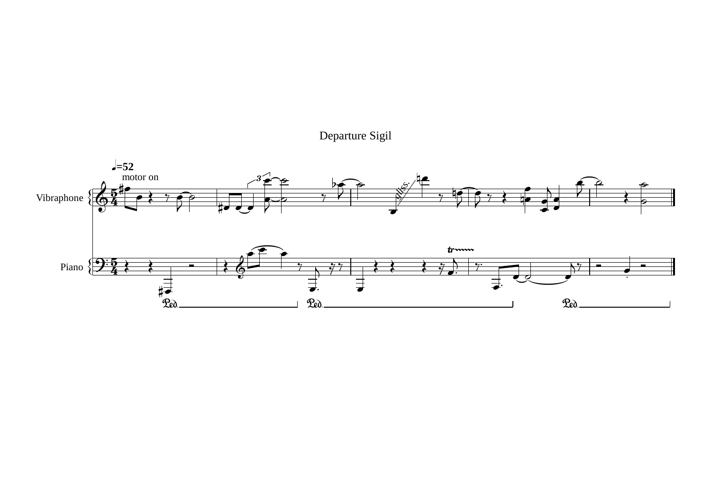

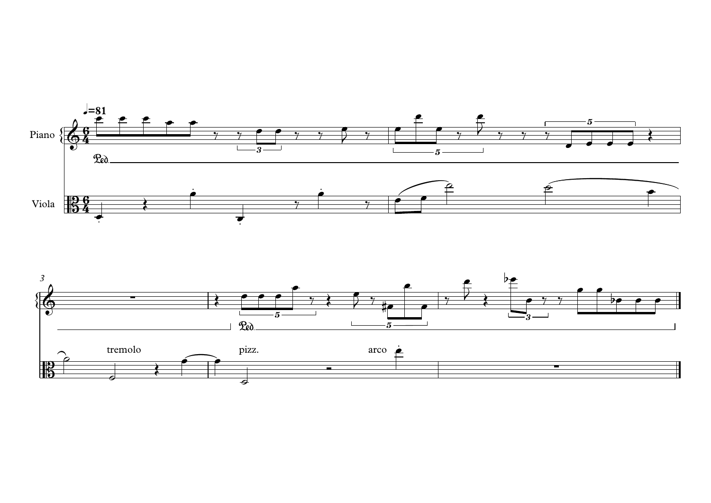

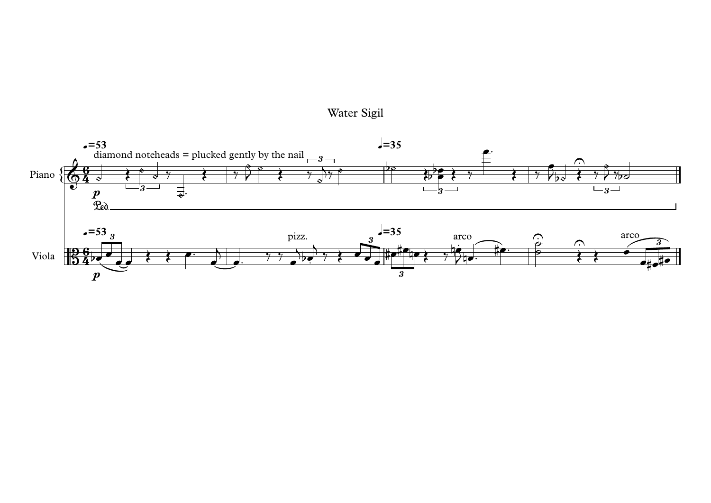

Water Sigil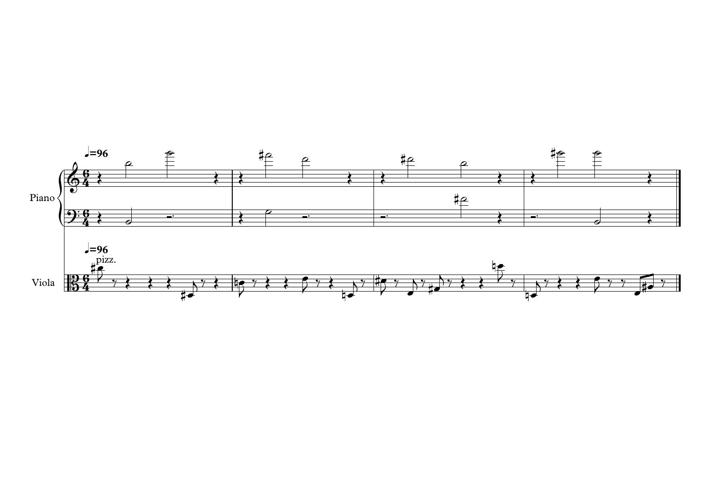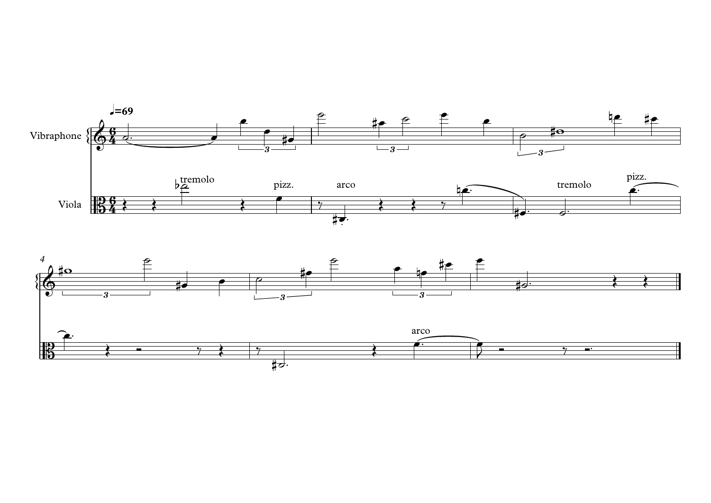

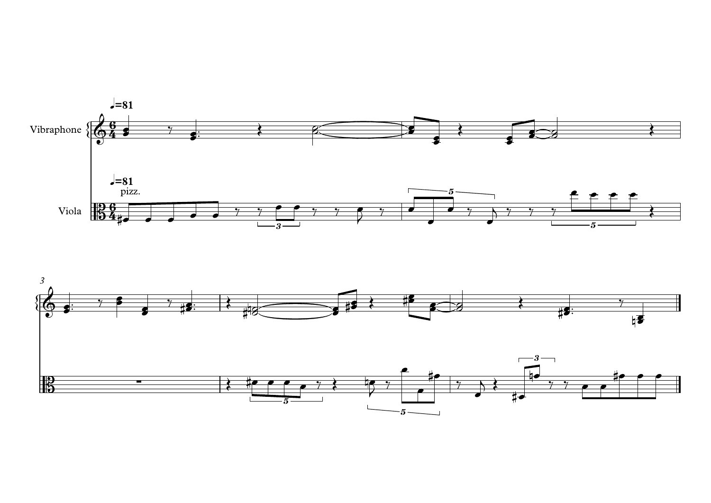

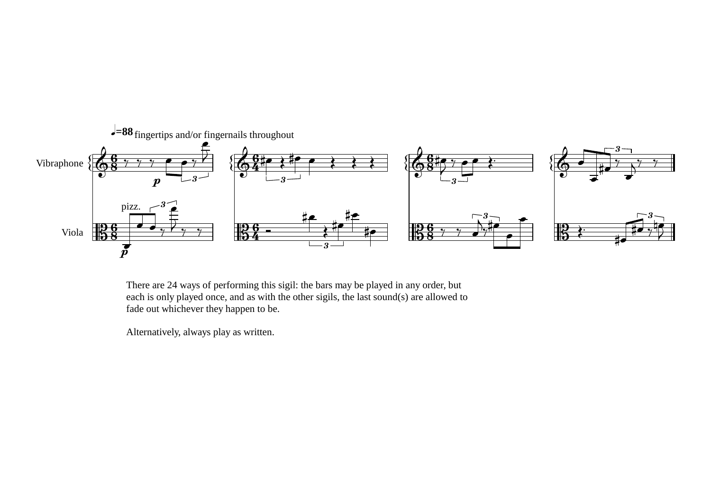

There are 24 ways of performing this sigil: the bars may be played in any order, but each is only played once, and as with the other sigils, the last sound(s) are allowed to fade out whichever they happen to be.

Alternatively, always play as written.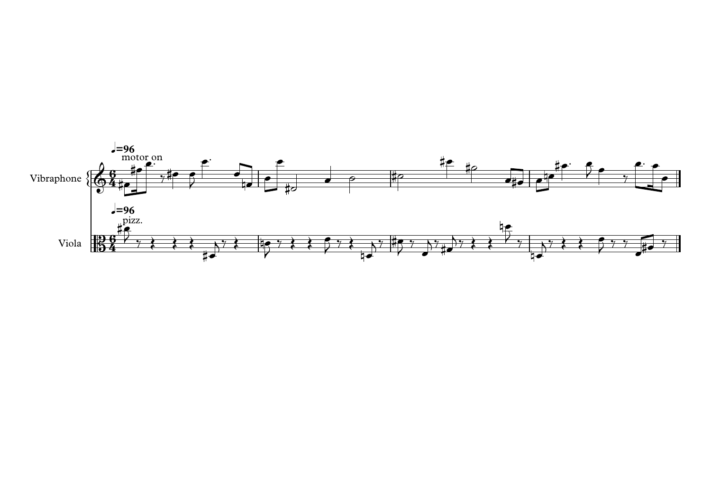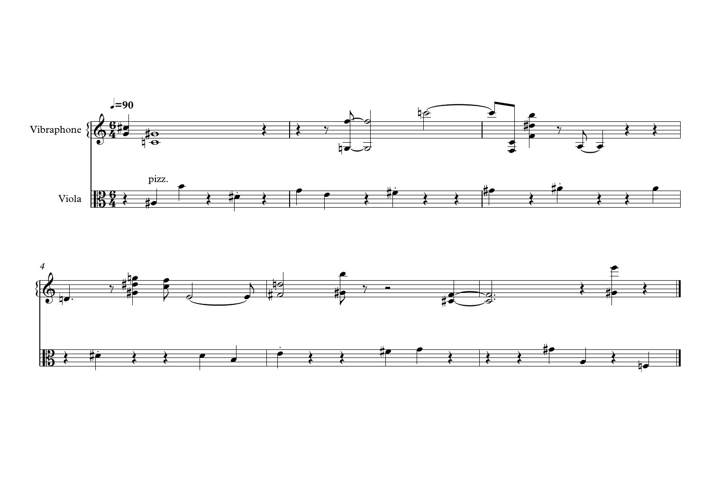

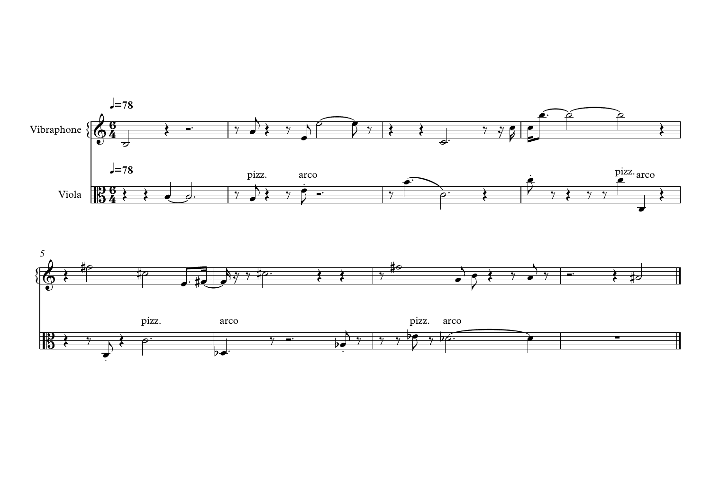

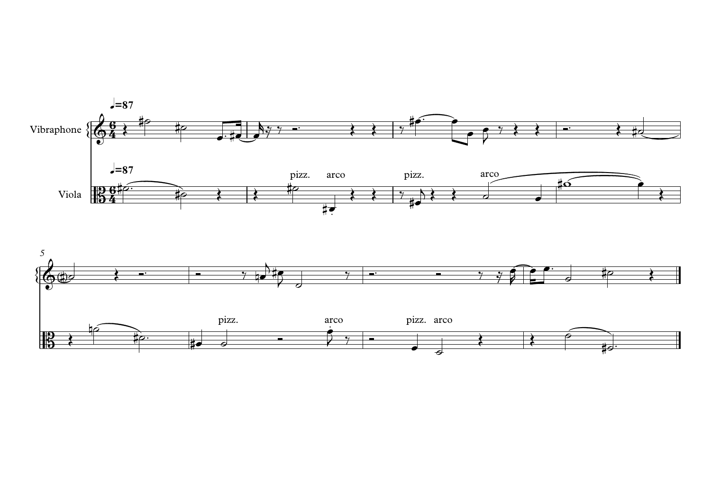

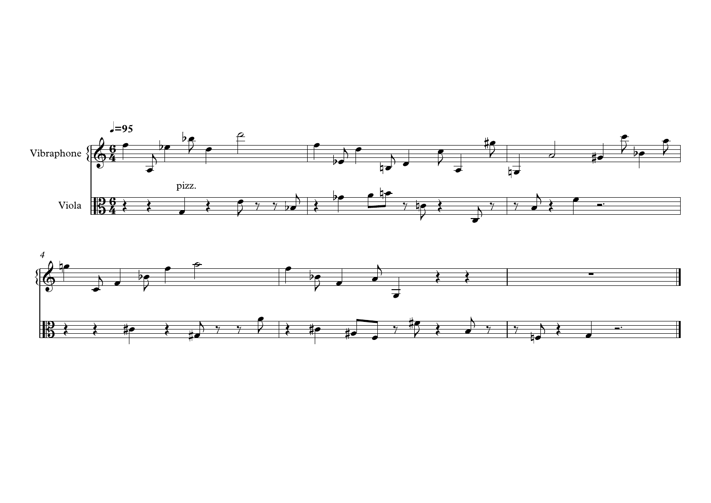

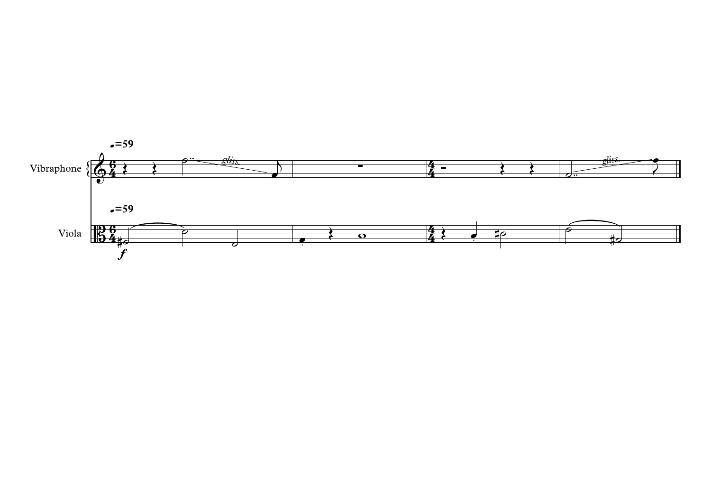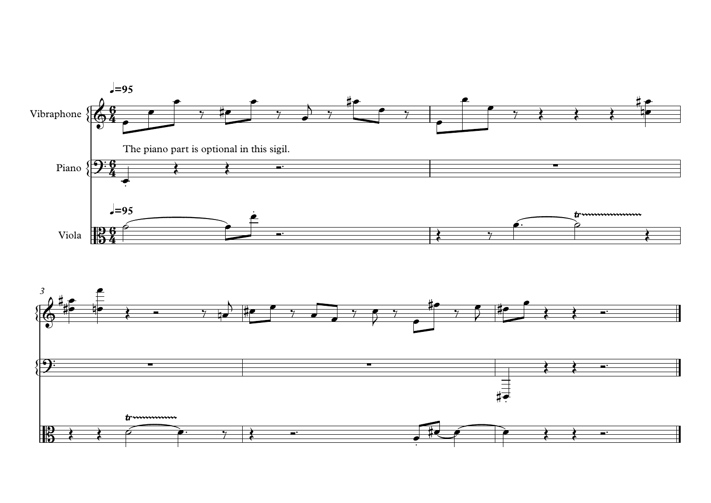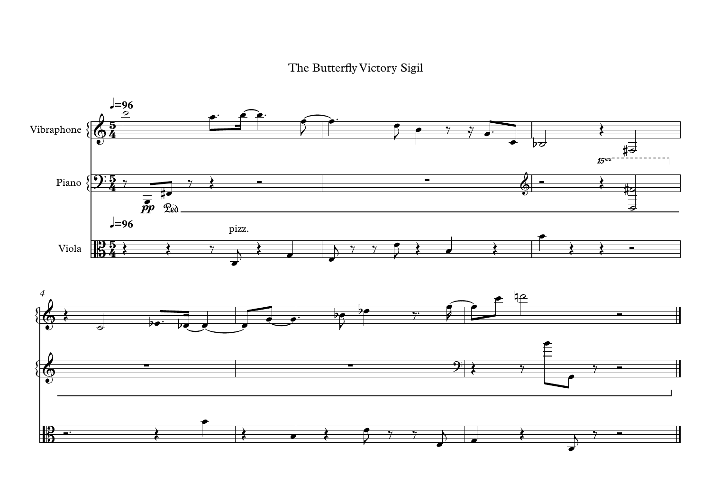

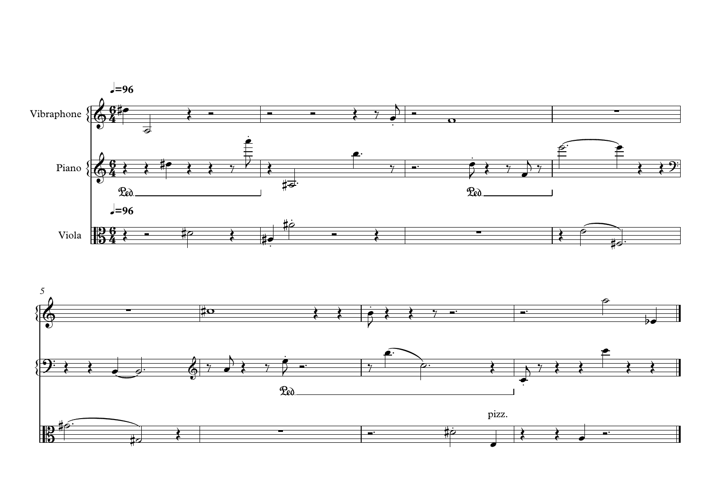